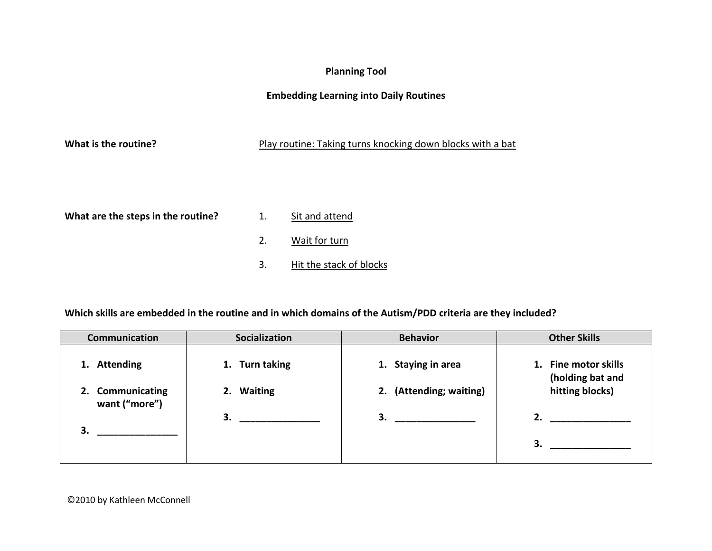## **Planning Tool**

## **Embedding Learning into Daily Routines**

### What is the routine? **Play routine: Taking turns knocking down blocks with a bat**

What are the steps in the routine? 1. Sit and attend

- 
- 2. Wait for turn
- 3. Hit the stack of blocks

### **Which skills are embedded in the routine and in which domains of the Autism/PDD criteria are they included?**

| <b>Communication</b>              | <b>Socialization</b> | <b>Behavior</b>         | <b>Other Skills</b>                      |
|-----------------------------------|----------------------|-------------------------|------------------------------------------|
| <b>Attending</b><br>1.            | 1. Turn taking       | 1. Staying in area      | 1. Fine motor skills<br>(holding bat and |
| 2. Communicating<br>want ("more") | 2. Waiting           | 2. (Attending; waiting) | hitting blocks)                          |
| 3.                                | 3.                   | 3.                      | 2.                                       |
|                                   |                      |                         | 3.                                       |
|                                   |                      |                         |                                          |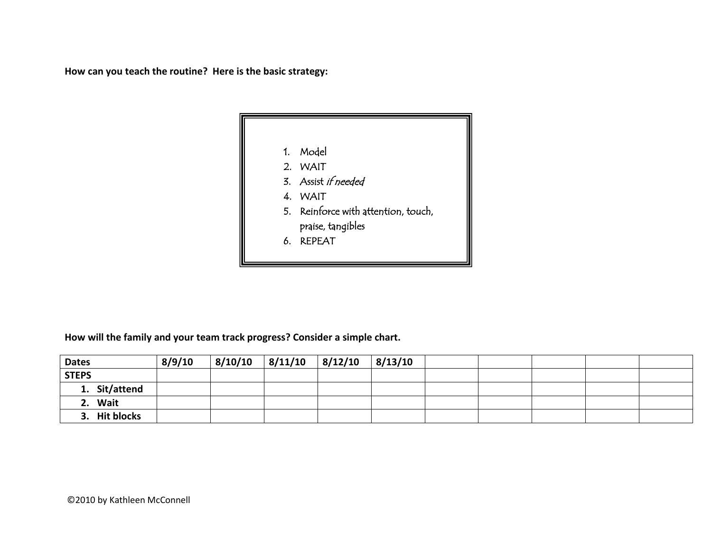**How can you teach the routine? Here is the basic strategy:**



**How will the family and your team track progress? Consider a simple chart.**

| <b>Dates</b>            | 8/9/10 | 8/10/10 | 8/11/10 | 8/12/10 | 8/13/10 |  |  |  |
|-------------------------|--------|---------|---------|---------|---------|--|--|--|
| <b>STEPS</b>            |        |         |         |         |         |  |  |  |
| 1. Sit/attend           |        |         |         |         |         |  |  |  |
| Wait<br>2.              |        |         |         |         |         |  |  |  |
| <b>Hit blocks</b><br>3. |        |         |         |         |         |  |  |  |